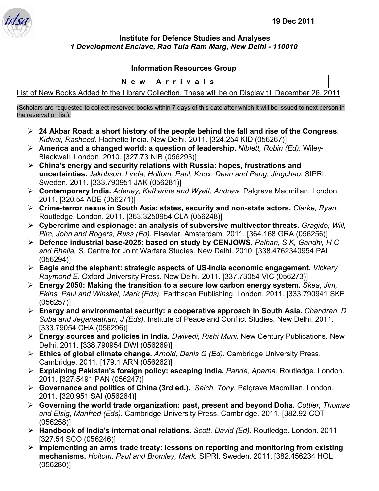

## **Institute for Defence Studies and Analyses**  *1 Development Enclave, Rao Tula Ram Marg, New Delhi - 110010*

## **Information Resources Group**

## **New Arrivals**

List of New Books Added to the Library Collection. These will be on Display till December 26, 2011

(Scholars are requested to collect reserved books within 7 days of this date after which it will be issued to next person in the reservation list).

- ¾ **24 Akbar Road: a short history of the people behind the fall and rise of the Congress.**  *Kidwai, Rasheed.* Hachette India. New Delhi. 2011. [324.254 KID (056267)]
- ¾ **America and a changed world: a question of leadership.** *Niblett, Robin (Ed).* Wiley-Blackwell. London. 2010. [327.73 NIB (056293)]
- ¾ **China's energy and security relations with Russia: hopes, frustrations and uncertainties.** *Jakobson, Linda, Holtom, Paul, Knox, Dean and Peng, Jingchao.* SIPRI. Sweden. 2011. [333.790951 JAK (056281)]
- ¾ **Contemporary India.** *Adeney, Katharine and Wyatt, Andrew.* Palgrave Macmillan. London. 2011. [320.54 ADE (056271)]
- ¾ **Crime-terror nexus in South Asia: states, security and non-state actors.** *Clarke, Ryan.*  Routledge. London. 2011. [363.3250954 CLA (056248)]
- ¾ **Cybercrime and espionage: an analysis of subversive multivector threats.** *Gragido, Will, Pirc, John and Rogers, Russ (Ed).* Elsevier. Amsterdam. 2011. [364.168 GRA (056256)]
- ¾ **Defence industrial base-2025: based on study by CENJOWS.** *Palhan, S K, Gandhi, H C and Bhalla, S.* Centre for Joint Warfare Studies. New Delhi. 2010. [338.4762340954 PAL (056294)]
- ¾ **Eagle and the elephant: strategic aspects of US-India economic engagement.** *Vickery, Raymond E.* Oxford University Press. New Delhi. 2011. [337.73054 VIC (056273)]
- ¾ **Energy 2050: Making the transition to a secure low carbon energy system.** *Skea, Jim, Ekins, Paul and Winskel, Mark (Eds).* Earthscan Publishing. London. 2011. [333.790941 SKE (056257)]
- ¾ **Energy and environmental security: a cooperative approach in South Asia.** *Chandran, D Suba and Jeganaathan, J (Eds).* Institute of Peace and Conflict Studies. New Delhi. 2011. [333.79054 CHA (056296)]
- ¾ **Energy sources and policies in India.** *Dwivedi, Rishi Muni.* New Century Publications. New Delhi. 2011. [338.790954 DWI (056269)]
- ¾ **Ethics of global climate change.** *Arnold, Denis G (Ed).* Cambridge University Press. Cambridge. 2011. [179.1 ARN (056262)]
- ¾ **Explaining Pakistan's foreign policy: escaping India.** *Pande, Aparna.* Routledge. London. 2011. [327.5491 PAN (056247)]
- ¾ **Governance and politics of China (3rd ed.).** *Saich, Tony.* Palgrave Macmillan. London. 2011. [320.951 SAI (056264)]
- ¾ **Governing the world trade organization: past, present and beyond Doha.** *Cottier, Thomas and Elsig, Manfred (Eds).* Cambridge University Press. Cambridge. 2011. [382.92 COT (056258)]
- ¾ **Handbook of India's international relations.** *Scott, David (Ed).* Routledge. London. 2011. [327.54 SCO (056246)]
- ¾ **Implementing an arms trade treaty: lessons on reporting and monitoring from existing mechanisms.** *Holtom, Paul and Bromley, Mark.* SIPRI. Sweden. 2011. [382.456234 HOL (056280)]